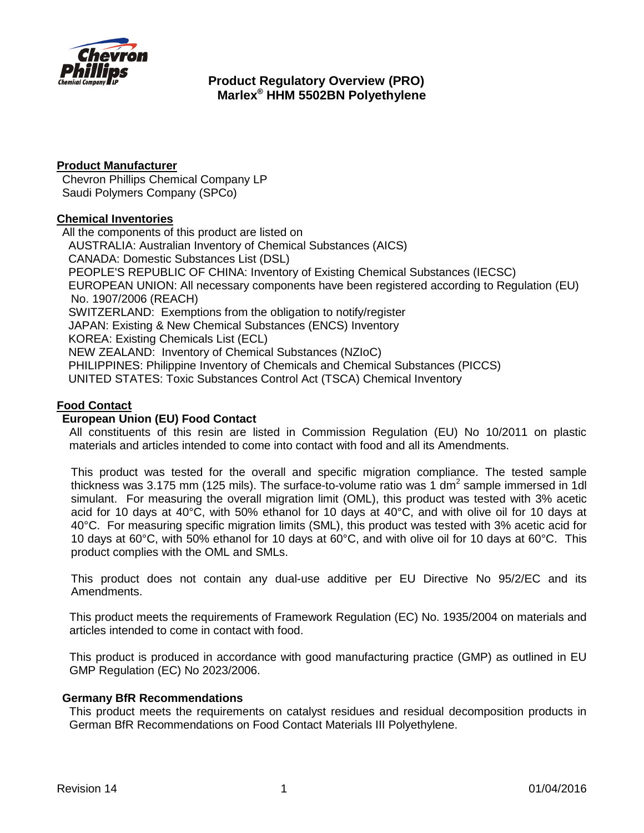

## **Product Manufacturer**

Chevron Phillips Chemical Company LP Saudi Polymers Company (SPCo)

#### **Chemical Inventories**

All the components of this product are listed on AUSTRALIA: Australian Inventory of Chemical Substances (AICS) CANADA: Domestic Substances List (DSL) PEOPLE'S REPUBLIC OF CHINA: Inventory of Existing Chemical Substances (IECSC) EUROPEAN UNION: All necessary components have been registered according to Regulation (EU) No. 1907/2006 (REACH) SWITZERLAND: Exemptions from the obligation to notify/register JAPAN: Existing & New Chemical Substances (ENCS) Inventory KOREA: Existing Chemicals List (ECL) NEW ZEALAND: Inventory of Chemical Substances (NZIoC) PHILIPPINES: Philippine Inventory of Chemicals and Chemical Substances (PICCS) UNITED STATES: Toxic Substances Control Act (TSCA) Chemical Inventory

## **Food Contact**

## **European Union (EU) Food Contact**

All constituents of this resin are listed in Commission Regulation (EU) No 10/2011 on plastic materials and articles intended to come into contact with food and all its Amendments.

This product was tested for the overall and specific migration compliance. The tested sample thickness was 3.175 mm (125 mils). The surface-to-volume ratio was 1 dm<sup>2</sup> sample immersed in 1dl simulant. For measuring the overall migration limit (OML), this product was tested with 3% acetic acid for 10 days at 40°C, with 50% ethanol for 10 days at 40°C, and with olive oil for 10 days at 40°C. For measuring specific migration limits (SML), this product was tested with 3% acetic acid for 10 days at 60°C, with 50% ethanol for 10 days at 60°C, and with olive oil for 10 days at 60°C. This product complies with the OML and SMLs.

This product does not contain any dual-use additive per EU Directive No 95/2/EC and its Amendments.

This product meets the requirements of Framework Regulation (EC) No. 1935/2004 on materials and articles intended to come in contact with food.

This product is produced in accordance with good manufacturing practice (GMP) as outlined in EU GMP Regulation (EC) No 2023/2006.

#### **Germany BfR Recommendations**

This product meets the requirements on catalyst residues and residual decomposition products in German BfR Recommendations on Food Contact Materials III Polyethylene.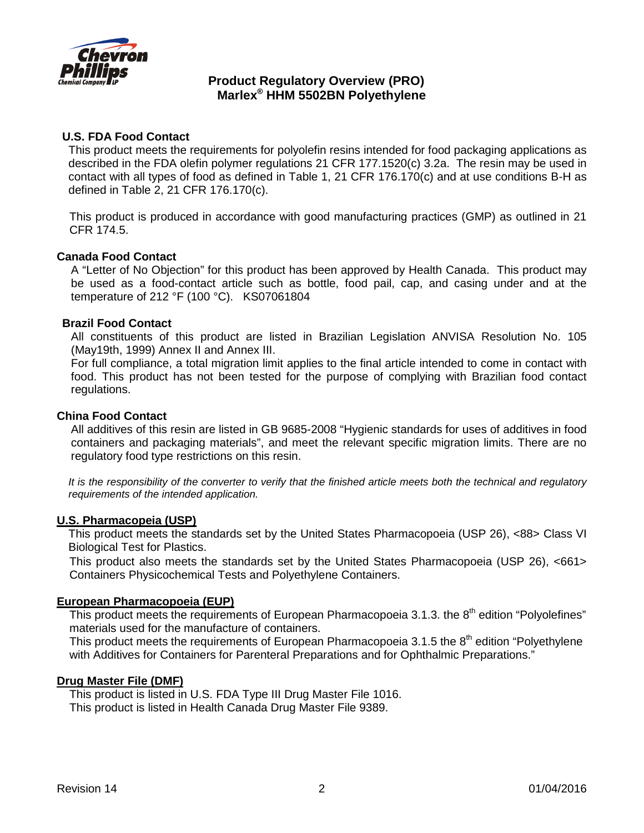

## **U.S. FDA Food Contact**

This product meets the requirements for polyolefin resins intended for food packaging applications as described in the FDA olefin polymer regulations 21 CFR 177.1520(c) 3.2a. The resin may be used in contact with all types of food as defined in Table 1, 21 CFR 176.170(c) and at use conditions B-H as defined in Table 2, 21 CFR 176.170(c).

This product is produced in accordance with good manufacturing practices (GMP) as outlined in 21 CFR 174.5.

#### **Canada Food Contact**

A "Letter of No Objection" for this product has been approved by Health Canada. This product may be used as a food-contact article such as bottle, food pail, cap, and casing under and at the temperature of 212 °F (100 °C). KS07061804

#### **Brazil Food Contact**

All constituents of this product are listed in Brazilian Legislation ANVISA Resolution No. 105 (May19th, 1999) Annex II and Annex III.

For full compliance, a total migration limit applies to the final article intended to come in contact with food. This product has not been tested for the purpose of complying with Brazilian food contact regulations.

#### **China Food Contact**

All additives of this resin are listed in GB 9685-2008 "Hygienic standards for uses of additives in food containers and packaging materials", and meet the relevant specific migration limits. There are no regulatory food type restrictions on this resin.

*It is the responsibility of the converter to verify that the finished article meets both the technical and regulatory requirements of the intended application.*

#### **U.S. Pharmacopeia (USP)**

This product meets the standards set by the United States Pharmacopoeia (USP 26), <88> Class VI Biological Test for Plastics.

This product also meets the standards set by the United States Pharmacopoeia (USP 26), <661> Containers Physicochemical Tests and Polyethylene Containers.

#### **European Pharmacopoeia (EUP)**

This product meets the requirements of European Pharmacopoeia 3.1.3. the  $8<sup>th</sup>$  edition "Polyolefines" materials used for the manufacture of containers.

This product meets the requirements of European Pharmacopoeia 3.1.5 the  $8<sup>th</sup>$  edition "Polyethylene with Additives for Containers for Parenteral Preparations and for Ophthalmic Preparations."

#### **Drug Master File (DMF)**

This product is listed in U.S. FDA Type III Drug Master File 1016. This product is listed in Health Canada Drug Master File 9389.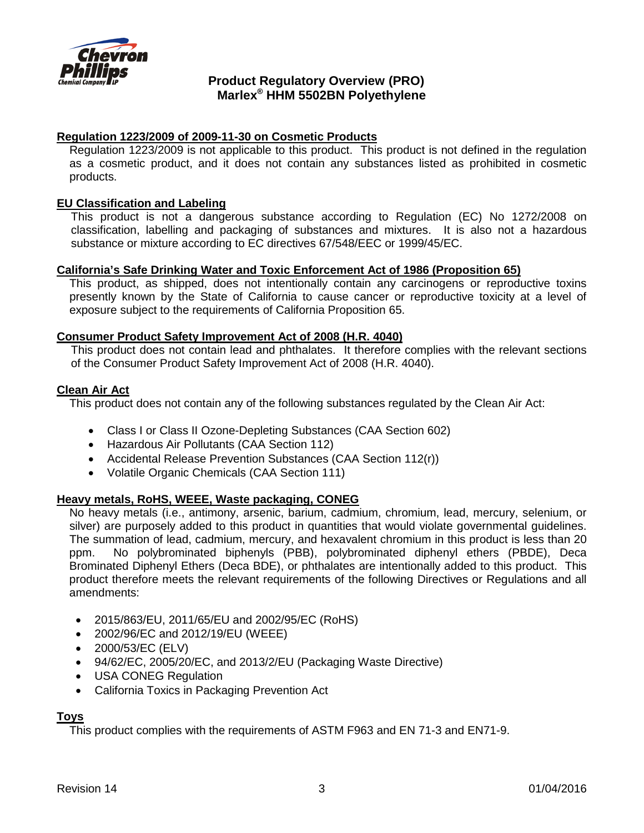

## **Regulation 1223/2009 of 2009-11-30 on Cosmetic Products**

Regulation 1223/2009 is not applicable to this product. This product is not defined in the regulation as a cosmetic product, and it does not contain any substances listed as prohibited in cosmetic products.

#### **EU Classification and Labeling**

This product is not a dangerous substance according to Regulation (EC) No 1272/2008 on classification, labelling and packaging of substances and mixtures. It is also not a hazardous substance or mixture according to EC directives 67/548/EEC or 1999/45/EC.

#### **California's [Safe Drinking Water and Toxic Enforcement Act of 1986](http://www.oehha.ca.gov/prop65/law/P65law72003.html) (Proposition 65)**

This product, as shipped, does not intentionally contain any carcinogens or reproductive toxins presently known by the State of California to cause cancer or reproductive toxicity at a level of exposure subject to the requirements of California Proposition 65.

#### **Consumer Product Safety Improvement Act of 2008 (H.R. 4040)**

This product does not contain lead and phthalates. It therefore complies with the relevant sections of the Consumer Product Safety Improvement Act of 2008 (H.R. 4040).

#### **Clean Air Act**

This product does not contain any of the following substances regulated by the Clean Air Act:

- Class I or Class II Ozone-Depleting Substances (CAA Section 602)
- Hazardous Air Pollutants (CAA Section 112)
- Accidental Release Prevention Substances (CAA Section 112(r))
- Volatile Organic Chemicals (CAA Section 111)

#### **Heavy metals, RoHS, WEEE, Waste packaging, CONEG**

No heavy metals (i.e., antimony, arsenic, barium, cadmium, chromium, lead, mercury, selenium, or silver) are purposely added to this product in quantities that would violate governmental guidelines. The summation of lead, cadmium, mercury, and hexavalent chromium in this product is less than 20 ppm. No polybrominated biphenyls (PBB), polybrominated diphenyl ethers (PBDE), Deca Brominated Diphenyl Ethers (Deca BDE), or phthalates are intentionally added to this product. This product therefore meets the relevant requirements of the following Directives or Regulations and all amendments:

- 2015/863/EU, 2011/65/EU and 2002/95/EC (RoHS)
- 2002/96/EC and 2012/19/EU (WEEE)
- 2000/53/EC (ELV)
- 94/62/EC, 2005/20/EC, and 2013/2/EU (Packaging Waste Directive)
- USA CONEG Regulation
- California Toxics in Packaging Prevention Act

#### **Toys**

This product complies with the requirements of ASTM F963 and EN 71-3 and EN71-9.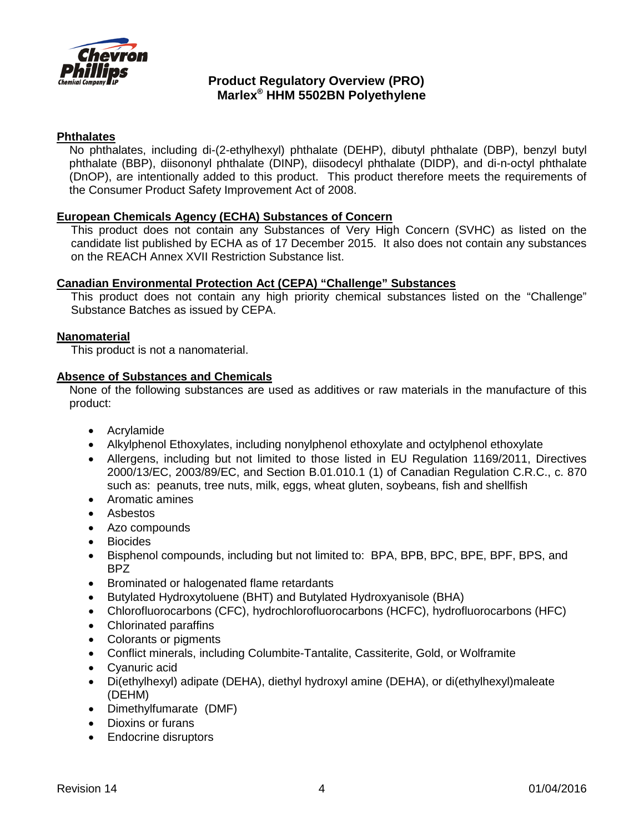

#### **Phthalates**

No phthalates, including di-(2-ethylhexyl) phthalate (DEHP), dibutyl phthalate (DBP), benzyl butyl phthalate (BBP), diisononyl phthalate (DINP), diisodecyl phthalate (DIDP), and di-n-octyl phthalate (DnOP), are intentionally added to this product. This product therefore meets the requirements of the Consumer Product Safety Improvement Act of 2008.

### **European Chemicals Agency (ECHA) Substances of Concern**

This product does not contain any Substances of Very High Concern (SVHC) as listed on the candidate list published by ECHA as of 17 December 2015. It also does not contain any substances on the REACH Annex XVII Restriction Substance list.

#### **Canadian Environmental Protection Act (CEPA) "Challenge" Substances**

This product does not contain any high priority chemical substances listed on the "Challenge" Substance Batches as issued by CEPA.

#### **Nanomaterial**

This product is not a nanomaterial.

### **Absence of Substances and Chemicals**

None of the following substances are used as additives or raw materials in the manufacture of this product:

- Acrylamide
- Alkylphenol Ethoxylates, including nonylphenol ethoxylate and octylphenol ethoxylate
- Allergens, including but not limited to those listed in EU Regulation 1169/2011, Directives 2000/13/EC, 2003/89/EC, and Section B.01.010.1 (1) of Canadian Regulation C.R.C., c. 870 such as: peanuts, tree nuts, milk, eggs, wheat gluten, soybeans, fish and shellfish
- Aromatic amines
- Asbestos
- Azo compounds
- Biocides
- Bisphenol compounds, including but not limited to: BPA, BPB, BPC, BPE, BPF, BPS, and BPZ
- Brominated or halogenated flame retardants
- Butylated Hydroxytoluene (BHT) and Butylated Hydroxyanisole (BHA)
- Chlorofluorocarbons (CFC), hydrochlorofluorocarbons (HCFC), hydrofluorocarbons (HFC)
- Chlorinated paraffins
- Colorants or pigments
- Conflict minerals, including Columbite-Tantalite, Cassiterite, Gold, or Wolframite
- Cyanuric acid
- Di(ethylhexyl) adipate (DEHA), diethyl hydroxyl amine (DEHA), or di(ethylhexyl)maleate (DEHM)
- Dimethylfumarate (DMF)
- Dioxins or furans
- Endocrine disruptors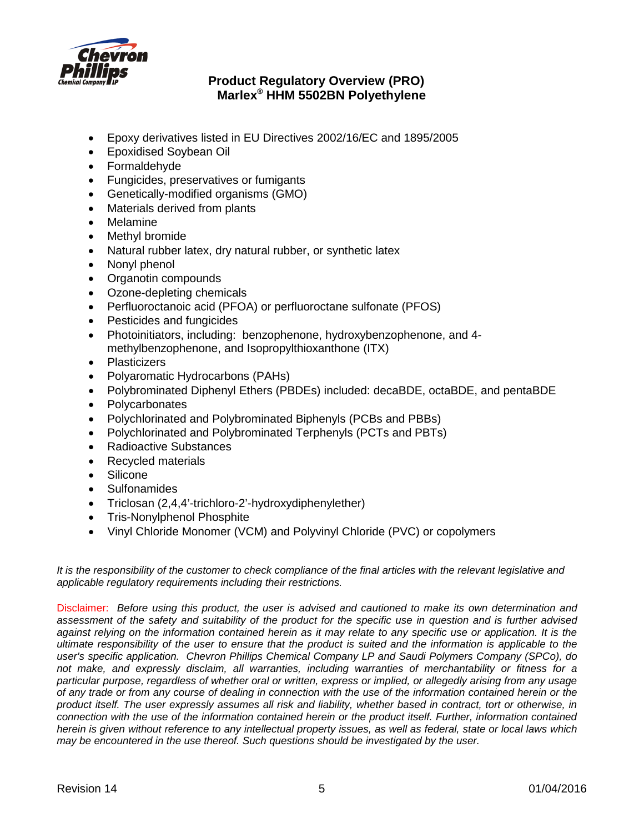

- Epoxy derivatives listed in EU Directives 2002/16/EC and 1895/2005
- Epoxidised Soybean Oil
- Formaldehyde
- Fungicides, preservatives or fumigants
- Genetically-modified organisms (GMO)
- Materials derived from plants
- Melamine
- Methyl bromide
- Natural rubber latex, dry natural rubber, or synthetic latex
- Nonyl phenol
- Organotin compounds
- Ozone-depleting chemicals
- Perfluoroctanoic acid (PFOA) or perfluoroctane sulfonate (PFOS)
- Pesticides and fungicides
- Photoinitiators, including: benzophenone, hydroxybenzophenone, and 4 methylbenzophenone, and Isopropylthioxanthone (ITX)
- Plasticizers
- Polyaromatic Hydrocarbons (PAHs)
- Polybrominated Diphenyl Ethers (PBDEs) included: decaBDE, octaBDE, and pentaBDE
- **Polycarbonates**
- Polychlorinated and Polybrominated Biphenyls (PCBs and PBBs)
- Polychlorinated and Polybrominated Terphenyls (PCTs and PBTs)
- Radioactive Substances
- Recycled materials
- **Silicone**
- Sulfonamides
- Triclosan (2,4,4'-trichloro-2'-hydroxydiphenylether)
- Tris-Nonylphenol Phosphite
- Vinyl Chloride Monomer (VCM) and Polyvinyl Chloride (PVC) or copolymers

It is the responsibility of the customer to check compliance of the final articles with the relevant legislative and *applicable regulatory requirements including their restrictions.*

Disclaimer: *Before using this product, the user is advised and cautioned to make its own determination and assessment of the safety and suitability of the product for the specific use in question and is further advised against relying on the information contained herein as it may relate to any specific use or application. It is the ultimate responsibility of the user to ensure that the product is suited and the information is applicable to the user's specific application. Chevron Phillips Chemical Company LP and Saudi Polymers Company (SPCo), do not make, and expressly disclaim, all warranties, including warranties of merchantability or fitness for a particular purpose, regardless of whether oral or written, express or implied, or allegedly arising from any usage of any trade or from any course of dealing in connection with the use of the information contained herein or the product itself. The user expressly assumes all risk and liability, whether based in contract, tort or otherwise, in connection with the use of the information contained herein or the product itself. Further, information contained herein is given without reference to any intellectual property issues, as well as federal, state or local laws which may be encountered in the use thereof. Such questions should be investigated by the user.*